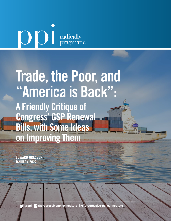# **OD** radically

# Trade, the Poor, and "America is Back": A Friendly Critique of Congress' GSP Renewal Bills, with Some Ideas on Improving Them

EDWARD GRESSER JANUARY 2022

 **[@ppi](http://twitter.com/ppi)** | **[@progressivepolicyinstitute](http://www.facebook.com/progressivepolicyinstitute)** | **[/progressive-policy-institute](https://www.linkedin.com/company/progressive-policy-institute/)**

P1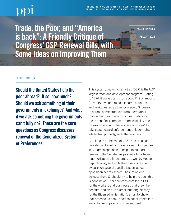EDWARD GRESSER

JANUARY 2022

Trade, the Poor, and "America is back": A Friendly Critique of Congress' GSP Renewal Bills, with Some Ideas on Improving Them

# **INTRODUCTION**

Should the United States help the poor abroad? If so, how much? Should we ask something of their governments in exchange? And what if we ask something the governments can't fully do? These are the core questions as Congress discusses renewal of the Generalized System of Preferences.

This system, known for short as "GSP," is the U.S.' largest trade and development program. Dating to 1974, it waives tariffs on about 11% of imports from 119 low- and middle-income countries and territories, so as to encourage U.S. buyers to source some products from them rather than larger, wealthier economies. Balancing these benefits, it imposes some eligibility rules, for example asking "beneficiary countries" to take steps toward enforcement of labor rights, intellectual property, and other matters.

GSP lapsed at the end of 2020, and thus has provided no benefits in over a year. Both parties in Congress appear in principle to support its renewal. The Senate has passed a bipartisan reauthorization bill (endorsed as well by House Republicans); and while the House is divided by party on several specific issues, actual opposition seems scarce. Assuming one believes the U.S. should try to help the poor, this is good news — for countries enrolled in GSP, for the workers and businesses that draw the benefits, and also, in a small but tangible way, for the Biden administration's effort to show that America "is back" and has not slumped into inward-looking passivity or resentment.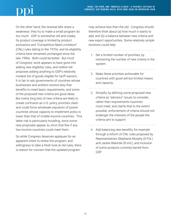On the other hand, the renewal bills share a weakness: they try to make a small program do too much. GSP is somewhat old and creaky. Its product coverage is limited by product exclusions and "Competitive Need Limitation" (CNL) rules dating to the 1970s, and its eligibility criteria have remained unchanged since the late 1990s. Both could be better. But most of Congress' work appears to have gone into adding new eligibility rules, and neither bill proposes adding anything to GSP's relatively modest list of goods eligible for tariff waivers. It is fair to ask governments of countries whose businesses and workers receive duty-free benefits to meet basic requirements, and some of the proposed new criteria are good ideas. But overly long lists of new criteria are likely to create confusion as U.S. policy priorities clash, and could force wholesale expulsion of poorer countries whose capacity to implement policy is lower than that of middle-income countries. This latter risk is particularly troubling, since some new proposals appear so strict that few if any low-income countries could meet them.

So while Congress deserves applause for an apparent intent to renew the program, and willingness to take a fresh look at old rules, there is reason for concern that the updated program

may achieve less than the old. Congress should therefore think about (a) how much it wants to add, and (b) a balance between new criteria and new export opportunities. Some relatively simple revisions could help:

- 1. Set a limited number of priorities, by restraining the number of new criteria in the system.
- 2. Make these priorities achievable for countries with good will but limited means and capacity.
- **3.** Simplify, by defining some proposed new criteria as "advisory" issues to consider, rather than requirements countries must meet, and clarify that to the extent possible, enforcement of criteria should not endanger the interests of the people the criteria aim to support.
- 4. Add balancing new benefits, for example through a reform of CNL rules proposed by Representatives Stephanie Murphy (D-Fla.) and Jackie Walorski (R-Ind.), and inclusion of some products currently barred from GSP.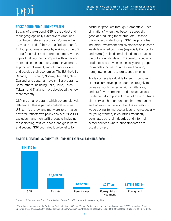# BACKGROUND AND CURRENT SYSTEM

By way of background, GSP is the oldest and most geographically extensive of America's four "trade preference programs", created in 1974 at the end of the GATT's "Tokyo Round".i All four programs operate by waiving some U.S. tariffs for smaller and poorer countries, with the hope of helping them compete with larger and more efficient economies, attract investment, support employment, and ultimately diversify and develop their economies. The EU, the U.K., Canada, Switzerland, Norway, Australia, New Zealand, and Japan all have similar programs. Some others, including Chile, China, Korea, Taiwan, and Thailand, have developed their own more recently.

GSP is a small program, which covers relatively little trade. This is partially natural, as most U.S. tariffs are low and many are zero. It also, however, reflects two policy choices: first, GSP excludes many high-tariff products, including most clothing, textiles, shoes, and glassware; and second, GSP countries lose benefits for

particular products through "Competitive Need Limitations" when they become especially good at producing those products. Despite this modest scale, though, GSP has promotes industrial investment and diversification in some least-developed countries (especially Cambodia and Burma), helped small island states such as the Solomon Islands and Fiji develop specialty products, and provided especially strong support for middle-income countries like Thailand, Paraguay, Lebanon, Georgia, and Armenia.

Trade success is valuable for such countries; exports earn developing countries roughly four times as much money as aid, remittances, and FDI flows combined, and thus serve as a fundamentally important driver of growth. Trade also serves a human function that remittances and aid rarely achieve, in that it is a creator of wage-paying, formal sector jobs (often especially for young women) in countries frequently dominated by rural industries and informalsector services where labor standards are usually lowest.



## FIGURE 1: DEVELOPING COUNTRIES: GDP AND EXTERNAL EARNINGS, 2020

*Source: U.S. International Trade Commission's Dataweb and the International Monetary Fund*

i. The other preferences are the Caribbean Basin Initiative or CBI, for 25 small Caribbean island and littoral economies (1983), the African Growth and Opportunity Act or AGOA (2000) applied to 36 sub-Saharan African countries, and a specially designed CBI offshoot for Haiti known as HOPE (2006).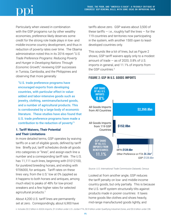Particularly when viewed in combination with the GSP programs run by other wealthy economies, preference likely deserves some credit for the strong role trade plays in low- and middle-income country development, and thus in reduction of poverty rates over time. The Obama administration noted this in its 2016 report "*U.S. Trade Preference Programs: Reducing Poverty and Hunger in Developing Nations Through Economic Growth*," reviewing GSP successes in Tunisia, Cambodia, and the Philippines and observing that more generally:

"U.S. trade preference programs have encouraged exports from developing countries, with particular effect in valueadded and labor-intensive goods such as jewelry, clothing, semimanufactured goods, and a number of agricultural products. This is corroborated by a large body of economic literature. These studies have also found that U.S. trade preference programs have made a contribution to the reduction of poverty."1

# **1. Tariff Waivers, Their Potential and Their Limitations**

In more detailed terms, GSP operates by waiving tariffs on a set of eligible goods, defined by tariff line. Briefly put, tariff schedules divide all goods into categories or "lines", and assign each line a number and a corresponding tariff rate. The U.S. has 11,111 such lines, beginning with 01012100, for purebred breeding horses, and ending with 9706000, for antiques. Tariff rates on these lines vary, from the U.S.' low at 0% (applied as it happens to both horses and antiques, among much else) to peaks of 48% for low-priced sneakers and a few higher rates for selected agricultural products.2

About 4,200 U.S. tariff lines are permanently set at zero. Correspondingly, about 6,900 have tariffs above zero. GSP waives about 3,500 of these tariffs — i.e., roughly half the lines — for the **\$14,210 bn** 119 countries and territories now participating in the system, with another 1500 open to leastdeveloped countries only.

This sounds like a lot of lines, but as Figure 2 shows, GSP tariff waivers apply only to a modest amount of trade — as of 2020, 0.8% of U.S. **\$3,850 bn** imports in general, and 11.1% of imports from the GSP countries.<sup>3</sup>





*Source: U.S. International Trade Commission Dataweb, Census*

Looked at from another angle, GSP reduces the tariff penalty on low- and middle-income country goods, but only partially. This is because the U.S. tariff system structurally tilts against products made in poorer countries: It taxes home goods like clothes and shoes heavily, mid-range manufactured goods lightly, and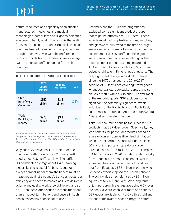natural resources and especially sophisticated manufactures (medicines and medical technologies, computers and IT goods, scientific equipment) hardly at all. The result is that GSP (or even GSP plus AGOA and CBI) still leaves rich countries treated more gently than poorer ones; as Table 1 shows, even with the preferences, tariffs on goods from GSP beneficiaries average twice as high as tariffs on goods from rich countries.

|                                          | 2020<br><b>GOODS</b><br><b>IMPORTS</b> | <b>TARIFFS</b><br><b>COLLECTED</b> | <b>RATE</b> |
|------------------------------------------|----------------------------------------|------------------------------------|-------------|
| GSP<br>Beneficiary<br>Countries          | \$152<br>billion                       | \$3.6<br>billion                   | 2.3%        |
| World<br>Bank High-<br><b>Income</b> iii | \$778<br>billion                       | \$9.6<br>billion                   | 1.2%        |

### TABLE 1: RICH COUNTRIES STILL TREATED BETTER

*Sources: World Trade Organization, Organisation for Economic Co-operation and Development, United Nations Conference on Trade and Development, and the Global Knowledge Partnership on Migration and Development*

Why does GSP cover so little trade? For one thing, even setting aside the 4,200 zero-tariff goods, most U.S. tariffs are low. The tariffs GSP eliminates average about 4.4%. Waiving a cost like this is useful for buyers, but not always compelling for them; the benefit must be measured against a country's transport costs, port efficiency and speed to market, ability to deliver in volume and quality, workforce skill levels, and so on. Often these latter issues are more important than a modest tariff benefit, and buyers in such cases reasonably choose not to use it.

Second, since the 1970s the program has excluded some significant product groups that might be attractive to GSP users. These include most clothing, textiles, shoes, watches, and glassware, all viewed at the time as large employers which were not strongly competitive against imports. U.S. tariffs on these goods were then, and remain now, much higher than those on other products, averaging around 15% and rising to peaks such as 32% for men's polyester shirts or 48% for cheap sneakers. The only significant change in product coverage since the 1970s has been the 2016/2017 addition of 18 tariff lines covering "travel goods" — luggage, wallets, backpacks, purses, and so on. As a result, while AGOA and CBI cover most of the excluded goods, GSP excludes some significant, or potentially significant, export industries for the Pacific Islands, Middle East, Latin America, Southeast Asia and South/Central Asia, and southeastern Europe.

Third, GSP countries can't be *too* successful in products that GSP does cover. Specifically, they lose benefits for particular products based on a rule known as "Competitive Need Limitation," when their exports of a particular good exceed 50% of U.S. imports or top a dollar-value threshold set at \$195 million in 2021. Examples of CNL removals in 2020 included golden jewelry from Indonesia, a \$228 million import which exceeded the dollar-value threshold, and taro root from Ecuador, a \$32 million import in which Ecuador's exports topped the 50% threshold. $4$ The dollar-value threshold rises by \$5 million, equivalent to 2.5%, annually. With long-term U.S. import growth average averaging 6.5% over the past 30 years, each year more of a country's GSP goods are liable to hit a CNL threshold and fall out of the system based simply on natural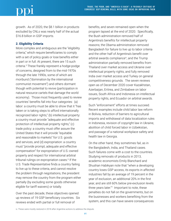growth. As of 2020, the \$8.1 billion in products excluded by CNLs was nearly half of the actual \$16.8 billion in GSP imports.

## **2. Eligibility Criteria**

More complex and ambiguous are the "eligibility criteria," which require beneficiaries to comply with a set of policy goals or lose benefits either in part or in full. At present, there are 15 such criteria.5 These frankly represent a hodge-podge of concerns, designed from to the mid-1970s through the late 1990s, some of which are moribund ("domination by the international communist movement") and others dormant though with potential to revive (participation in natural resource cartels that damage the world economy). Those most frequently used to review countries' benefits fall into four categories: (a) labor: a country must be able to show that it "has taken or is taking steps to afford internationally recognized labor rights," (b) intellectual property: a country must provide "adequate and effective protection of intellectual property rights," (c) trade policy: a country must offer assure the United States that it will provide "equitable and reasonable to markets" for U.S. goods and services, and (d) expropriation: a country must "provide prompt, adequate and effective compensation" for expropriation of U.S.-owned property and respect for international arbitral tribunal rulings on expropriation cases.<sup>6</sup> If the U.S. Trade Representative finds a country failing to live up to these criteria, and cannot resolve the problem through negotiations, the president may remove the country from the program either partially (by excluding some goods otherwise eligible for tariff waivers) or totally.

Over the past decade, these objectives opened up reviews of 19 GSP beneficiary countries. Six reviews ended with partial or full removal of

benefits, and seven remained open when the program lapsed at the end of 2020. Specifically, the Bush administration removed half of Argentina's benefits for intellectual property reasons; the Obama administration removed Bangladesh for failure to live up to labor criteria and the other half of Argentina's benefit over arbitral awards compliance<sup>iv</sup>; and the Trump administration partially removed benefits from Thailand over market access and Ukraine over intellectual property rights, and fully removed India over market access and Turkey on general competitiveness grounds. The seven reviews open as of December 2020 cover Kazakhstan, Azerbaijan, Eritrea, and Zimbabwe on labor issues, South Africa and Indonesia on intellectual property rights, and Ecuador on arbitral awards.

Such "enforcement" efforts at times succeed. Recent examples include child labor law reform in Bolivia, reduction of barriers to agricultural imports and withdrawal of data localization rules in Indonesia, revision of copyright law in Ukraine, abolition of child forced labor in Uzbekistan, and passage of a national workplace safety and health law in Georgia.

On the other hand, they sometimes fail, as in the Bangladesh, India, and Thailand cases. Such failures come with a cost to the countries. Studying removals of products in 2013, academic economists Emily Blanchard and Shushan Habikyan note that "when a developing country loses GSP access, its exports in affected industries fall by an average of 19 percent in the year of exclusion, an additional 20% in the first year, and are still 60% below pre-exclusion levels three years later."7 Important to note, these penalties do not fall on the governments, but on the businesses and workers benefiting from the system, and this can have severe consequences

iv. These were mostly restored in 2018 after Argentine actions to address the dispute.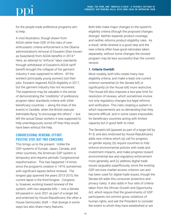for the people trade preference programs aim to help.

A vivid illustration, though drawn from AGOA rather than GSP, of the risks of overenthusiastic criteria enforcement is the Obama administration's removal of Eswatini (then known as Swaziland) from AGOA benefits in 2014.<sup>8</sup> Here, an attempt to "enforce" labor standards through withdrawal of Eswatini's AGOA tariff benefit brought the collapse of the garment industry it was supposed to reform. All the workers (principally young women) lost their jobs. Eswatini regained AGOA eligibility in 2017, but the garment industry has not recovered. The experience may be valuable in the sense of demonstrating the "credibility" of preference program labor standards criteria with other beneficiary countries  $-$  along the lines of the events in *Candide*, when the British execute Admirable Byng "to encourage the others" — but left the actual Swazi workers it was supposed to help unambiguously worse off than they would have been without the help.

# CONGRESSIONAL RENEWAL EFFORT: POSITIVE STEP, BUT TWO CONCERNS

This brings us to the present. Unlike the GSP systems of Europe, Japan, Canada, and other countries, the American GSP system is temporary and requires periodic Congressional reauthorization. This has happened 14 times since the program's creation in 1974, sometimes with significant lapses before renewal. The longest gap spanned the years 2013-2015; the current lapse is the third-longest. Congress is, however, working toward renewal of the system, with two separate bills  $-$  one a Senate bill passed in June 2021 as part of a larger bill, and endorsed by House Republicans; the other a House Democratic draft  $-$  that diverge in some ways but also share many features.

Both bills make major changes to the system's eligibility criteria (though the proposed changes diverge). Neither expands product coverage, and neither reforms product eligibility rules. As a result, while renewal is a good step and the new criteria often have good rationales taken separately, without some changes the revised program may be less successful than the current version.

### **1. Criteria Overkill:**

Most notably, both bills create many new eligibility criteria, and make a least one current criterion somewhat (in the Senate bill) or significantly (in the House bill) more restrictive. The House bill also imposes a two-year limit for resolution of reviews, which sometimes involve not only regulatory changes but legal reforms and verification. This risks creating a system in which requirements are so demanding that they become difficult, and in some cases impossible, for beneficiary countries acting with limited capacity but in good faith to meet.

The Senate's bill (passed as part of a larger bill by 91-8, and also endorsed by House Republicans) adds new criteria which (a) call for progress on gender equity, (b) require countries to fully enforce environmental policies with trade and investment impacts, and make progress toward environmental law and regulatory enforcement more generally, and (c) address digital trade issues (arguably superfluously, since the existing GSP services market access criterion can and has been used for digital trade issues, though the Senate bill adds this consumer protection and privacy rules). It also adds in four sets of criteria taken from the African Growth and Opportunity Act, which require that the governments of GSP participants not commit gross violations of human rights, and ask the President to consider the extent to which they have established or are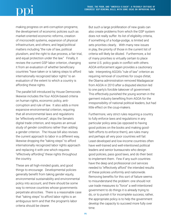making progress on anti-corruption programs; the development of economic policies such as market-oriented economic reforms, creation of microcredit systems, expansion of physical infrastructure, and others; and legal/political matters including "the rule of law, political pluralism, and the right to due process, a fair trial, and equal protection under the law." Finally, it revises the current GSP labor criterion, changing it from an evaluation of whether beneficiary countries "have taken or is taking steps to afford internationally recognized labor rights" to an evaluation of the extent to which a country is affording these rights.

The parallel bill introduced by House Democrats likewise includes the four AGOA-based criteria on human rights, economic policy, anticorruption and rule of law. It also adds a more expansive environmental criterion, requiring that all environmental laws and regulations be "effectively enforced", skips the Senate's digital trade criterion, and requires an annual study of gender conditions rather than adding a gender criterion. The House bill also revises the current approach to labor in a different way, likewise dropping the "taking steps" to afford internationally recognized labor rights approach and replacing it with one which requires "effectively affording" these rights throughout the country.

These are all high-minded goals, and good things to encourage. Developmental policies generally benefit from taking gender equity, environmental sustainability and environmental policy into account, and there should be some way to remove countries whose governments perpetrate atrocities. There is a reasonable case that "taking steps" to afford labor rights is an ambiguous term and that the program's labor criteria should be clearer.

But such a large proliferation of new goals can also create problems from which the GSP system does not really suffer. Its list of eligibility criteria, if something of a hodge-podge, is limited and sets priorities clearly.. With many new issues in play, the priority of those in the current list of criteria will likely be diluted. Furthermore, a list of many priorities is virtually certain to place some U.S. policy goals in conflict with others. AGOA enforcement again provides a cautionary tale. Interpreting AGOA's "rule of law" criterion as requiring removal of countries for coups d'etat, the Obama administration removed Madagascar from AGOA in 2010 after a disputed election led to one party's forcible takeover of government. This effectively punished the young women in the garment industry benefiting from AGOA for the irresponsibility of national political leaders, but had little effect on the coup-makers.

Furthermore, very strict rules requiring a country to fully enforce laws and regulations in any particular policy area (as opposed to having good policies on the books and making goodfaith efforts to enforce them), are rules many and perhaps all very poor countries will fail. Least-developed and low-income countries often have well-trained and well-intentioned political leaders and senior bureaucrats who design good policies, pass good laws, and do their best to implement them. Few if any such countries have the deep and professional civil services needed to "effectively afford" the intended results of these policies uniformly and nationwide. Removing benefits for this sort of failure seems to misunderstand the problem: one should not use trade measures to "force" a well-intentioned government to do things it is already trying to do, or to punish it for incomplete success; rather, the appropriate policy is to help the government develop the capacity to succeed more fully over time.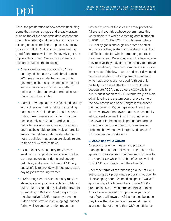Thus, the proliferation of new criteria (including some that are quite vague and broadly drawn, such as the AGOA economic development and rule of law criteria) and the tightening of some existing ones seems likely to place U.S. policy goals in conflict. And poor countries making good-faith efforts will often find overly tight rules impossible to meet. One can easily imagine scenarios such as the following:

- A very low-income, post-conflict African country still bruised by Ebola breakouts in 2014 may have a talented and reformist government, but lack the sophisticated civil service necessary to "effectively afford" policies on labor and environmental issues throughout the country.
- A small, low-population Pacific Island country with vulnerable marine habitats extending across a dozen islands and 70,000 square miles of maritime economic territory may possess only one Coast Guard vessel to patrol for environmental law enforcement, and thus be unable to effectively enforce its environmental laws nationwide, whether or not the policies in question are clearly related to trade or investment flows.
- A Southeast Asian country may have a weak record on political and civil rights, but a strong one on labor rights and poverty reduction, and a record of using GSP very successfully to provide well-regulated, wagepaying jobs for young women.
- A reforming Central Asian country may be showing strong progress on labor rights and doing a lot to expand physical infrastructure by enrolling in Belt and Road programs (or the alternative U.S./European system the Biden administration is developing), but not faring well on anti-corruption measures.

Obviously, none of these cases are hypothetical. All are real countries whose governments this writer dealt with while overseeing administration of GSP from 2015-2020. In such cases, where U.S. policy goals and eligibility criteria conflict with one another, system administrators will find it difficult to decide which competing priority is most important. Depending upon the legal advice they receive, they may find it necessary to remove most beneficiary countries from the system (or at least most of the low-income and least-developed countries unable to fully implement standards which lack provisions for good-faith but only partially successful efforts). This would also depopulate AGOA, since a core AGOA eligibility rule is qualification for GSP. Alternatively, officials administering the system could ignore some of the new criteria and hope Congress will accept their judgments. Or, perhaps most likely, they will move toward non-systematic and essentially arbitrary enforcement , in which countries in the news or in the political spotlight are targets for enforcement, countries with comparable problems but without well-organized bands of U.S.-resident critics skate by.

### **2. AGOA and WTO Waiver:**

A second challenge — lesser and probably manageable, but not irrelevant  $-$  is that both bills appear to create a nearly uniform set of criteria for AGOA and GSP, while AGOA benefits are available to 40 GSP countries but not the other 79.

Under the terms of the "enabling clause" of GATT authorizing GSP programs, a program not open to all developing countries needs a special "waiver" approved by all WTO members. Since AGOA's creation in 2000, low-income countries outside Africa have accepted this up to now, partially out of good will towards Africa but also because they know that African countries must meet a larger number of criteria than GSP beneficiaries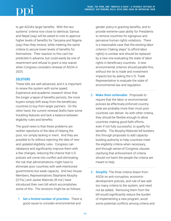to get AGOA's larger benefits. With the two systems' criteria now close to identical, Samoa and Nepal (say) will be asked to vote to approve higher levels of benefits for Tanzania and Nigeria (say) than they receive, while meeting the same criteria to secure lower levels of benefits for themselves. Their reaction to this can't be predicted in advance, but could easily be one of resentment and refusal to grant a new waiver when Congress considers renewal of AGOA in 2025.

# **SOLUTIONS**

These bills are well advanced, and it is important to renew the system with some speed. Experience and academic research show that the longer a lapse of benefits persists, the more buyers simply drift away from the beneficiary countries to buy from larger partners. On the other hand, the current renewal drafts have some troubling features and lack a balance between eligibility rules and benefits.

The good news is that these problems are neither rejections of the idea of helping the poor, nor simply lacking in merit. And they are possible to fix without rejecting the idea of new and updated eligibility rules. Congress can rebalance and significantly improve them with a few changes, reducing the chance that U.S. policies will come into conflict and eliminating the risk that administrations might have to eliminate poor countries with well-intentioned governments but weak capacity. And two House Members, Representatives Stephanie Murphy (D-Fla.) and Jackie Walorski (R-Ind.) have introduced their own bill which accomplishes some of this. The revisions might be as follows:

1. **Set a limited number of priorities:** There is good cause to consider environmental and

gender policy in granting benefits, and to provide extreme-case ability for Presidents to remove countries for egregious and pervasive human rights violations. There is a reasonable case that the existing labor criterion ("taking steps" to afford labor rights) is unclear and should be replaced by a new one evaluating the state of labor rights in beneficiary countries. A new environmental criterion should parallel this, without the tie to trade and investment impacts but by asking the U.S. Trade Representative to evaluate the state of environmental law and regulation.

- 2. **Make them achievable:** Proposals to require that the labor or environmental policies be effectively enforced countrywide are probably more than most poor countries can deliver. As with other criteria, they should be flexible enough to allow countries making good-faith efforts, even if not fully successful, to qualify for benefits. The Murphy/Walorski bill bolsters this through proposals to add capacitybuilding authority to help countries meet the eligibility criteria when necessary, and through sense-of-Congress clauses clarifying that enforcement of criteria should not harm the people the criteria are meant to help.
- 3. **Simplify:** The three criteria drawn from AGOA on anti-corruption, economic development policies, and rule of law add too many criteria to the system, and need not be added. Removing them from the bill would significantly reduce the burden of implementing a new program, avoid some potential conflicts among criteria and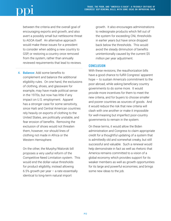between the criteria and the overall goal of encouraging exports and growth, and also avert a possibly small but nettlesome threat to AGOA itself. An alternative approach would make these issues for a president to consider when adding a new country to GSP, or restoring a country once removed from the system, rather than annually reviewed requirements that lead to reviews.

4. **Balance:** Add some benefits to complement and balance the additional eligibility rules. On one hand, the exclusions of clothing, shoes, and glassware for example, may have made political sense in the 1970s, but now has little if any impact on U.S. employment. Apparel has a stronger case for some sensitivity, since Haiti and Central American countries rely heavily on exports of clothing to the United States, are politically unstable, and fear erosion of benefits. Removing the exclusion of shoes would not threaten them, however; nor should lines of clothing not made in Africa or the Western Hemisphere.

On the other, the Murphy/Walorski bill proposes a very useful reform of the Competitive Need Limitation system. This would end the dollar-value thresholds for product eligibility, instead allowing 6.5% growth per year  $-$  a rate essentially identical to long-term natural import

growth. It also encourages administrations to redesignate products which fell out of the system for exceeding CNL thresholds in earlier years but have since dropped back below the thresholds. This would avoid the steady diminution of benefits unintentionally caused by the current \$5 million per year adjustment.

# **CONCLUSION**

With these revisions, the reauthorization bills have a good chance to fulfill Congress' apparent hope — to sustain America's commitment to the poor abroad, while asking beneficiary country governments to do some more. It would provide more incentives for them to meet the new criteria, and for buyers to choose smaller and poorer countries as sources of goods. And it would reduce the risk that new criteria will clash with one another or make it impossible for well-meaning but imperfect poor-country governments to remain in the system.

On these terms, it would allow the Biden administration and Congress to claim appropriate credit for a thoughtful updating of a system that is admittedly old and somewhat creaky, but still successful and valuable. Such a renewal would help demonstrate in fact as well as rhetoric that America remains committed to a vision of a global economy which provides support for its weaker members as well as growth opportunities for its large and powerful economies; and brings some new ideas to the job.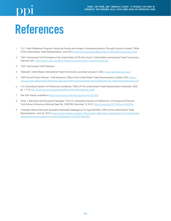# References

- 1 "U.S. Trade Preference Programs: Reducing Poverty and Hunger in Developing Nations Through Economic Growth," Office of the United States Trade Representative, June 2016, <https://ustr.gov/sites/default/files/TPEA-Preferences-Report.pdf>.
- 2 "2021 Harmonized Tariff Schedule of the United States (HTS) Item Count," United States International Trade Commission, February 2021, [https://www.usitc.gov/tariff\\_affairs/documents/2021\\_hts\\_item\\_count.pdf](https://www.usitc.gov/tariff_affairs/documents/2021_hts_item_count.pdf).
- 3 "2021 Harmonized Tariff Schedule."
- 4 "Dataweb," United States International Trade Commission, accessed January 4, 2022, [https://dataweb.usitc.gov/.](https://dataweb.usitc.gov/)
- 5 "GSP Annual Product Review Final Decisions," Office of the United States Trade Representative, October 2020, [https://](https://ustr.gov/sites/default/files/files/Press/Releases/GSP%20Annual%20Product%20Review%20-%20Final%20Decisions.pdf) [ustr.gov/sites/default/files/files/Press/Releases/GSP%20Annual%20Product%20Review%20-%20Final%20Decisions.pdf](https://ustr.gov/sites/default/files/files/Press/Releases/GSP%20Annual%20Product%20Review%20-%20Final%20Decisions.pdf).
- 6 "U.S. Generalized System of Preferences Guidebook," Office Of The United States Trade Representative, November 2020: pp. 17-18, [http://www.ustr.gov/sites/default/files/GSP%20Guidebook\\_0.pdf](http://www.ustr.gov/sites/default/files/GSP%20Guidebook_0.pdf).
- 7 See GSP statute, available at [https://www.law.cornell.edu/uscode/text/19/2462.](https://www.law.cornell.edu/uscode/text/19/2462)
- 8 Emily J. Blanchard and Shushanik Hakobyan, "The U.S. Generalized System of Preferences: In Principle and Practice," Tuck School of Business Working Paper No. 2439798, December 19, 2013,<http://dx.doi.org/10.2139/ssrn.2439798>.
- 9 "President Obama Removes Swaziland, Reinstates Madagascar for Agoa Benefits," Office of the United States Trade Representative, June 26, 2014, [https://ustr.gov/about-us/policy-offices/press-office/press-releases/2014/June/President-](https://ustr.gov/about-us/policy-offices/press-office/press-releases/2014/June/President-Obama-removes-Swaziland-reinstates-Madagascar-for-AGOA-Benefits)[Obama-removes-Swaziland-reinstates-Madagascar-for-AGOA-Benefits](https://ustr.gov/about-us/policy-offices/press-office/press-releases/2014/June/President-Obama-removes-Swaziland-reinstates-Madagascar-for-AGOA-Benefits).